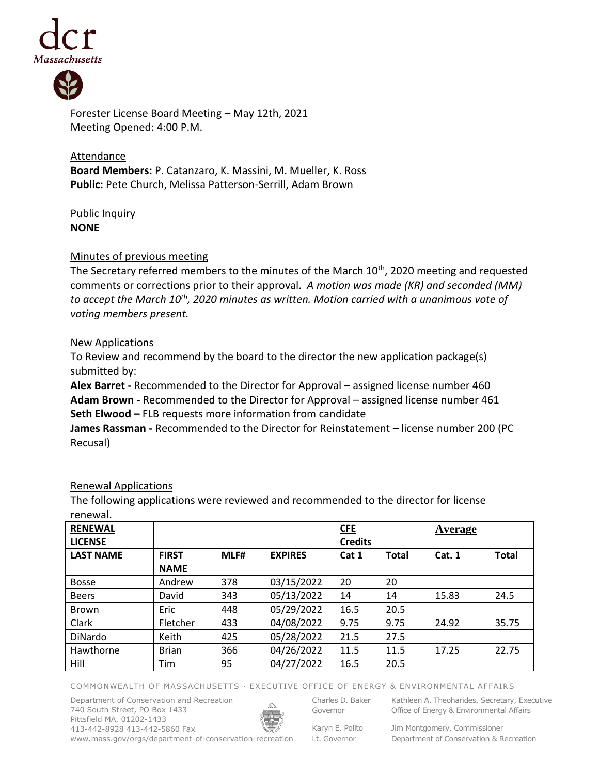



Forester License Board Meeting – May 12th, 2021 Meeting Opened: 4:00 P.M.

**Attendance Board Members:** P. Catanzaro, K. Massini, M. Mueller, K. Ross **Public:** Pete Church, Melissa Patterson-Serrill, Adam Brown

# Public Inquiry **NONE**

### Minutes of previous meeting

The Secretary referred members to the minutes of the March 10<sup>th</sup>, 2020 meeting and requested comments or corrections prior to their approval. *A motion was made (KR) and seconded (MM) to accept the March 10th , 2020 minutes as written. Motion carried with a unanimous vote of voting members present.*

### New Applications

To Review and recommend by the board to the director the new application package(s) submitted by:

**Alex Barret -** Recommended to the Director for Approval – assigned license number 460 **Adam Brown -** Recommended to the Director for Approval – assigned license number 461 **Seth Elwood –** FLB requests more information from candidate

**James Rassman -** Recommended to the Director for Reinstatement – license number 200 (PC Recusal)

# Renewal Applications

The following applications were reviewed and recommended to the director for license renewal.

| <b>RENEWAL</b>   |              |      |                | <b>CFE</b>     |              | Average |              |
|------------------|--------------|------|----------------|----------------|--------------|---------|--------------|
| <b>LICENSE</b>   |              |      |                | <b>Credits</b> |              |         |              |
| <b>LAST NAME</b> | <b>FIRST</b> | MLF# | <b>EXPIRES</b> | Cat 1          | <b>Total</b> | Cat. 1  | <b>Total</b> |
|                  | <b>NAME</b>  |      |                |                |              |         |              |
| <b>Bosse</b>     | Andrew       | 378  | 03/15/2022     | 20             | 20           |         |              |
| <b>Beers</b>     | David        | 343  | 05/13/2022     | 14             | 14           | 15.83   | 24.5         |
| <b>Brown</b>     | Eric         | 448  | 05/29/2022     | 16.5           | 20.5         |         |              |
| Clark            | Fletcher     | 433  | 04/08/2022     | 9.75           | 9.75         | 24.92   | 35.75        |
| DiNardo          | Keith        | 425  | 05/28/2022     | 21.5           | 27.5         |         |              |
| Hawthorne        | <b>Brian</b> | 366  | 04/26/2022     | 11.5           | 11.5         | 17.25   | 22.75        |
| Hill             | Tim          | 95   | 04/27/2022     | 16.5           | 20.5         |         |              |

COMMONWEALTH OF MASSACHUSETTS · EXECUTIVE OFFICE OF ENERGY & ENVIRONMENTAL AFFAIRS

Department of Conservation and Recreation 740 South Street, PO Box 1433 Pittsfield MA, 01202-1433 413-442-8928 413-442-5860 Fax www.mass.gov/orgs/department-of-conservation-recreation



Charles D. Baker Governor

Karyn E. Polito

Kathleen A. Theoharides, Secretary, Executive Office of Energy & Environmental Affairs

Lt. Governor

Jim Montgomery, Commissioner Department of Conservation & Recreation